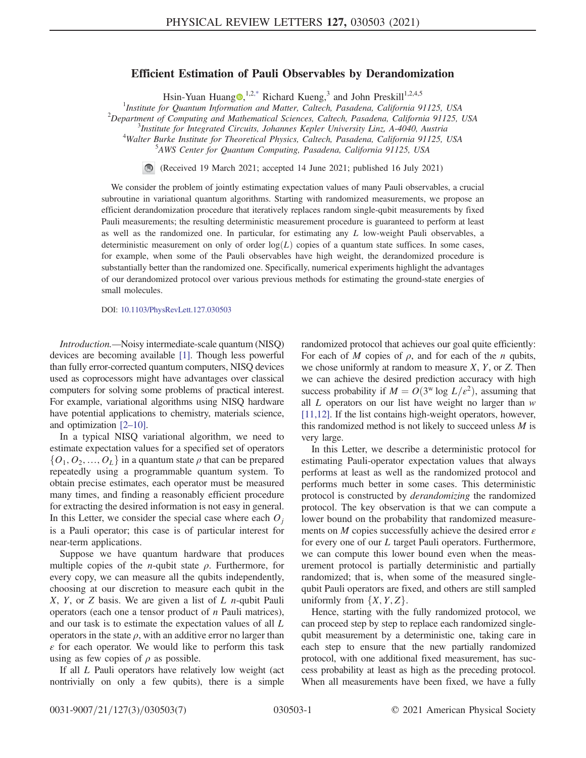## Efficient Estimation of Pauli Observables by Derandomization

Hsin-Yuan Huang  $\mathbb{D}$ , 1,[2,\\*](#page-4-0) Richard Kueng,<sup>3</sup> and John Preskill<sup>1,2,4,5</sup>

<span id="page-0-0"></span><sup>1</sup>Institute for Quantum Information and Matter, Caltech, Pasadena, California 91125, USA<br><sup>2</sup>Department of Computing and Mathematical Sciences, Caltech, Pasadena, California 91125

 $^{2}$ Department of Computing and Mathematical Sciences, Caltech, Pasadena, California 91125, USA

<sup>3</sup>Institute for Integrated Circuits, Johannes Kepler University Linz, A-4040, Austria

<sup>4</sup>Walter Burke Institute for Theoretical Physics, Caltech, Pasadena, California 91125, USA

AWS Center for Quantum Computing, Pasadena, California 91125, USA

(Received 19 March 2021; accepted 14 June 2021; published 16 July 2021)  $\bigcirc$ 

We consider the problem of jointly estimating expectation values of many Pauli observables, a crucial subroutine in variational quantum algorithms. Starting with randomized measurements, we propose an efficient derandomization procedure that iteratively replaces random single-qubit measurements by fixed Pauli measurements; the resulting deterministic measurement procedure is guaranteed to perform at least as well as the randomized one. In particular, for estimating any L low-weight Pauli observables, a deterministic measurement on only of order  $log(L)$  copies of a quantum state suffices. In some cases, for example, when some of the Pauli observables have high weight, the derandomized procedure is substantially better than the randomized one. Specifically, numerical experiments highlight the advantages of our derandomized protocol over various previous methods for estimating the ground-state energies of small molecules.

DOI: [10.1103/PhysRevLett.127.030503](https://doi.org/10.1103/PhysRevLett.127.030503)

Introduction.—Noisy intermediate-scale quantum (NISQ) devices are becoming available [\[1\].](#page-4-1) Though less powerful than fully error-corrected quantum computers, NISQ devices used as coprocessors might have advantages over classical computers for solving some problems of practical interest. For example, variational algorithms using NISQ hardware have potential applications to chemistry, materials science, and optimization [2–[10\]](#page-4-2).

In a typical NISQ variational algorithm, we need to estimate expectation values for a specified set of operators  $\{O_1, O_2, ..., O_L\}$  in a quantum state  $\rho$  that can be prepared repeatedly using a programmable quantum system. To obtain precise estimates, each operator must be measured many times, and finding a reasonably efficient procedure for extracting the desired information is not easy in general. In this Letter, we consider the special case where each  $O_i$ is a Pauli operator; this case is of particular interest for near-term applications.

Suppose we have quantum hardware that produces multiple copies of the *n*-qubit state  $\rho$ . Furthermore, for every copy, we can measure all the qubits independently, choosing at our discretion to measure each qubit in the X, Y, or Z basis. We are given a list of  $L$  *n*-qubit Pauli operators (each one a tensor product of  $n$  Pauli matrices), and our task is to estimate the expectation values of all L operators in the state  $\rho$ , with an additive error no larger than  $\varepsilon$  for each operator. We would like to perform this task using as few copies of  $\rho$  as possible.

If all L Pauli operators have relatively low weight (act nontrivially on only a few qubits), there is a simple randomized protocol that achieves our goal quite efficiently: For each of M copies of  $\rho$ , and for each of the n qubits, we chose uniformly at random to measure  $X$ ,  $Y$ , or  $Z$ . Then we can achieve the desired prediction accuracy with high success probability if  $M = O(3^w \log L/\epsilon^2)$ , assuming that all  $L$  operators on our list have weight no larger than  $w$ [\[11,12\].](#page-5-0) If the list contains high-weight operators, however, this randomized method is not likely to succeed unless  $M$  is very large.

In this Letter, we describe a deterministic protocol for estimating Pauli-operator expectation values that always performs at least as well as the randomized protocol and performs much better in some cases. This deterministic protocol is constructed by derandomizing the randomized protocol. The key observation is that we can compute a lower bound on the probability that randomized measurements on *M* copies successfully achieve the desired error  $\varepsilon$ for every one of our L target Pauli operators. Furthermore, we can compute this lower bound even when the measurement protocol is partially deterministic and partially randomized; that is, when some of the measured singlequbit Pauli operators are fixed, and others are still sampled uniformly from  $\{X, Y, Z\}$ .

Hence, starting with the fully randomized protocol, we can proceed step by step to replace each randomized singlequbit measurement by a deterministic one, taking care in each step to ensure that the new partially randomized protocol, with one additional fixed measurement, has success probability at least as high as the preceding protocol. When all measurements have been fixed, we have a fully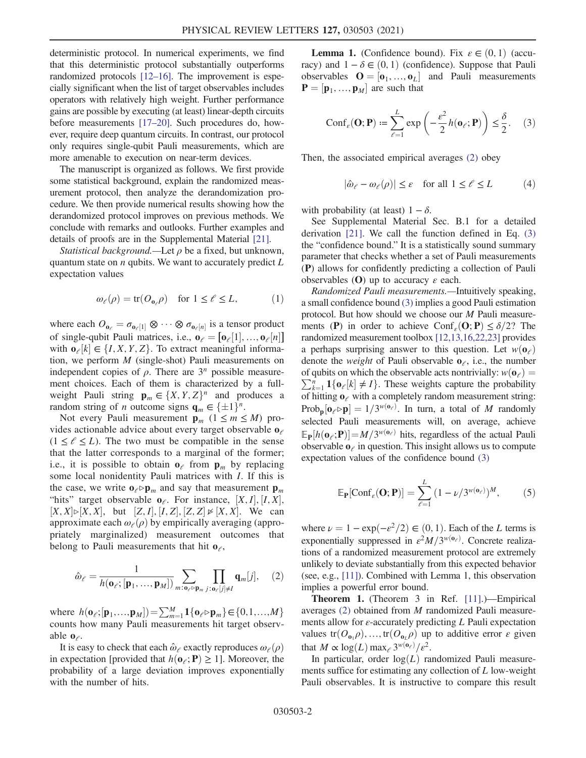deterministic protocol. In numerical experiments, we find that this deterministic protocol substantially outperforms randomized protocols [12–[16\].](#page-5-1) The improvement is especially significant when the list of target observables includes operators with relatively high weight. Further performance gains are possible by executing (at least) linear-depth circuits before measurements [\[17](#page-5-2)–20]. Such procedures do, however, require deep quantum circuits. In contrast, our protocol only requires single-qubit Pauli measurements, which are more amenable to execution on near-term devices.

The manuscript is organized as follows. We first provide some statistical background, explain the randomized measurement protocol, then analyze the derandomization procedure. We then provide numerical results showing how the derandomized protocol improves on previous methods. We conclude with remarks and outlooks. Further examples and details of proofs are in the Supplemental Material [\[21\]](#page-5-3).

*Statistical background.*—Let  $\rho$  be a fixed, but unknown, quantum state on  $n$  qubits. We want to accurately predict  $L$ expectation values

$$
\omega_{\ell}(\rho) = \text{tr}(O_{\mathbf{0}_{\ell}}\rho) \quad \text{for } 1 \le \ell \le L,
$$
 (1)

where each  $O_{\mathbf{0}_{\ell}} = \sigma_{\mathbf{0}_{\ell}}[1] \otimes \cdots \otimes \sigma_{\mathbf{0}_{\ell}}[n]$  is a tensor product<br>of single qubit Pouli metrics i.e.,  $\mathbf{0}_{\ell} = [\mathbf{0}_{\ell}]$  [1]  $\mathbf{0}_{\ell}$  [n] of single-qubit Pauli matrices, i.e.,  $\mathbf{o}_{\ell} = [\mathbf{o}_{\ell}[1], ..., \mathbf{o}_{\ell}[n]]$ <br>with  $\mathbf{o}_{\ell}[k] \in \{I \mid X | Y | Z\}$ . To extract meaningful informawith  $\mathbf{o}_{\ell}[k] \in \{I, X, Y, Z\}$ . To extract meaningful informa-<br>tion we perform M (single-shot) Pauli measurements on tion, we perform  $M$  (single-shot) Pauli measurements on independent copies of  $\rho$ . There are  $3<sup>n</sup>$  possible measurement choices. Each of them is characterized by a fullweight Pauli string  $\mathbf{p}_m \in \{X, Y, Z\}^n$  and produces a random string of *n* outcome signs  $\mathbf{q}_m \in \{\pm 1\}^n$ .

Not every Pauli measurement  $\mathbf{p}_m$  ( $1 \le m \le M$ ) provides actionable advice about every target observable  $\mathbf{o}_{\ell}$  $(1 \leq \ell \leq L)$ . The two must be compatible in the sense that the latter corresponds to a marginal of the former; i.e., it is possible to obtain  $\mathbf{o}_{\ell}$  from  $\mathbf{p}_m$  by replacing some local nonidentity Pauli matrices with I. If this is the case, we write  $\mathbf{o}_e \triangleright \mathbf{p}_m$  and say that measurement  $\mathbf{p}_m$ "hits" target observable  $\mathbf{o}_{\ell}$ . For instance,  $[X, I], [I, X],$ <br> $[X \times X]$  but  $[Z, I]$   $[I, Z]$   $[Z, Z] \ltimes [X, X]$  We can  $[X, X] \triangleright [X, X]$ , but  $[Z, I], [I, Z], [Z, Z] \triangleright [X, X]$ . We can<br>approximate each  $\varphi_2(\rho)$  by empirically averaging (approapproximate each  $\omega_e(\rho)$  by empirically averaging (appropriately marginalized) measurement outcomes that belong to Pauli measurements that hit  $\mathbf{o}_{\ell}$ ,

<span id="page-1-0"></span>
$$
\hat{\omega}_{\ell} = \frac{1}{h(\mathbf{o}_{\ell}; [\mathbf{p}_1, ..., \mathbf{p}_M])} \sum_{m: \mathbf{o}_{\ell} \triangleright \mathbf{p}_m} \prod_{j: \mathbf{o}_{\ell}[j] \neq I} \mathbf{q}_m[j], \quad (2)
$$

where  $h(\mathbf{o}_{\ell};[\mathbf{p}_1,...,\mathbf{p}_M]) = \sum_{m=1}^{M} \mathbf{1}\{\mathbf{o}_{\ell} \diamond \mathbf{p}_m\} \in \{0,1,...,M\}$ counts how many Pauli measurements hit target observable  $\mathbf{0}_{\ell}$ .

It is easy to check that each  $\hat{\omega}_{\ell}$  exactly reproduces  $\omega_{\ell}(\rho)$ in expectation [provided that  $h(\mathbf{o}_{\ell}; \mathbf{P}) \geq 1$ ]. Moreover, the probability of a large deviation improves exponentially with the number of hits.

<span id="page-1-1"></span>**Lemma 1.** (Confidence bound). Fix  $\varepsilon \in (0, 1)$  (accuracy) and  $1 - \delta \in (0, 1)$  (confidence). Suppose that Pauli observables  $\mathbf{O} = [\mathbf{o}_1, ..., \mathbf{o}_L]$  and Pauli measurements  $\mathbf{P} - [\mathbf{n}_1, ..., \mathbf{n}_L]$  are such that  $P = [\mathbf{p}_1, ..., \mathbf{p}_M]$  are such that

$$
\text{Conf}_{\varepsilon}(\mathbf{O}; \mathbf{P}) \coloneqq \sum_{\ell=1}^{L} \exp\left(-\frac{\varepsilon^2}{2} h(\mathbf{o}_{\ell}; \mathbf{P})\right) \le \frac{\delta}{2}.
$$
 (3)

Then, the associated empirical averages [\(2\)](#page-1-0) obey

$$
|\hat{\omega}_{\ell} - \omega_{\ell}(\rho)| \le \varepsilon \quad \text{for all } 1 \le \ell \le L \tag{4}
$$

with probability (at least)  $1 - \delta$ .

See Supplemental Material Sec. B.1 for a detailed derivation [\[21\].](#page-5-3) We call the function defined in Eq. [\(3\)](#page-1-1) the "confidence bound." It is a statistically sound summary parameter that checks whether a set of Pauli measurements (P) allows for confidently predicting a collection of Pauli observables (O) up to accuracy  $\varepsilon$  each.

Randomized Pauli measurements.—Intuitively speaking, a small confidence bound [\(3\)](#page-1-1) implies a good Pauli estimation protocol. But how should we choose our M Pauli measurements (P) in order to achieve Conf<sub>ε</sub>(O; P)  $\leq \delta/2$ ? The randomized measurement toolbox [\[12,13,16,22,23\]](#page-5-1) provides a perhaps surprising answer to this question. Let  $w(\mathbf{o}_e)$ denote the *weight* of Pauli observable  $o_{\ell}$ , i.e., the number  $\sum_{k=1}^{n} \mathbb{1}\{\mathbf{o}_{\ell}[k] \neq I\}$ . These weights capture the probability of hitting  $\mathbf{o}_{\ell}$  with a completely random measurement string: of qubits on which the observable acts nontrivially:  $w(\mathbf{o}_e) =$ of hitting  $o_{\ell}$  with a completely random measurement string:  $\text{Prob}_{\mathbf{p}}[\mathbf{o}_{\ell} \triangleright \mathbf{p}] = 1/3^{w(\mathbf{o}_{\ell})}$ . In turn, a total of M randomly selected Pouli measurements will on average achieve selected Pauli measurements will, on average, achieve  $\mathbb{E}_{\mathbf{P}}[h(\mathbf{o}_{\ell}; \mathbf{P})] = M/3^{w(\mathbf{o}_{\ell})}$  hits, regardless of the actual Pauli<br>observable  $\mathbf{o}_{\ell}$  in question. This insight allows us to compute observable  $\mathbf{o}_{\ell}$  in question. This insight allows us to compute expectation values of the confidence bound [\(3\)](#page-1-1)

<span id="page-1-2"></span>
$$
\mathbb{E}_{\mathbf{P}}[\text{Conf}_{\varepsilon}(\mathbf{O}; \mathbf{P})] = \sum_{\ell=1}^{L} (1 - \nu/3^{w(\mathbf{o}_{\ell})})^{M}, \qquad (5)
$$

where  $\nu = 1 - \exp(-\varepsilon^2/2) \in (0, 1)$ . Each of the L terms is exponentially suppressed in  $\varepsilon^2 M/3^{w(\mathbf{o}_e)}$ . Concrete realizations of a randomized measurement protocol are extremely unlikely to deviate substantially from this expected behavior (see, e.g., [\[11\]](#page-5-0)). Combined with Lemma 1, this observation implies a powerful error bound.

Theorem 1. (Theorem 3 in Ref. [\[11\].](#page-5-0))—Empirical averages [\(2\)](#page-1-0) obtained from M randomized Pauli measurements allow for  $\varepsilon$ -accurately predicting L Pauli expectation values tr $(O_{\mathbf{0}_1} \rho), ..., \text{tr}(O_{\mathbf{0}_L} \rho)$  up to additive error  $\varepsilon$  given that  $M \propto \log(L) \max_{\ell} 3^{w(\mathbf{o}_{\ell})}/\varepsilon^2$ .<br>In particular order  $\log(L)$  ra

In particular, order  $log(L)$  randomized Pauli measurements suffice for estimating any collection of L low-weight Pauli observables. It is instructive to compare this result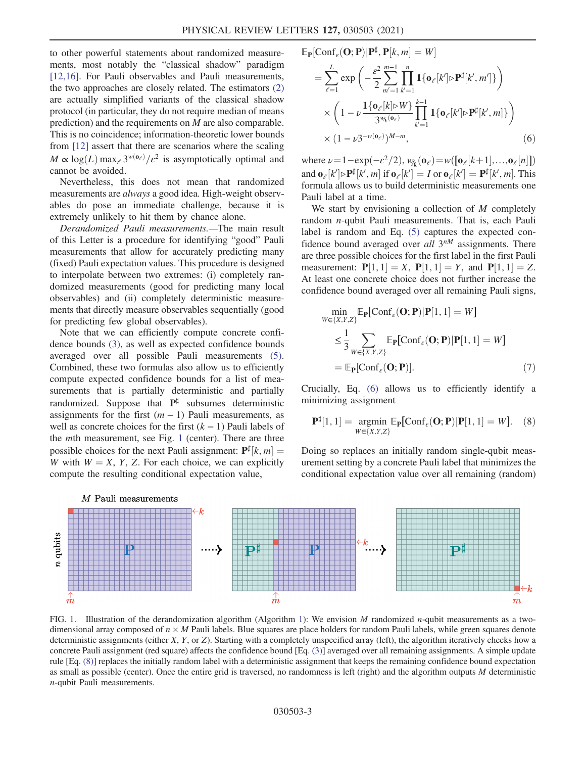to other powerful statements about randomized measurements, most notably the "classical shadow" paradigm [\[12,16\]](#page-5-1). For Pauli observables and Pauli measurements, the two approaches are closely related. The estimators [\(2\)](#page-1-0) are actually simplified variants of the classical shadow protocol (in particular, they do not require median of means prediction) and the requirements on M are also comparable. This is no coincidence; information-theoretic lower bounds from [\[12\]](#page-5-1) assert that there are scenarios where the scaling  $M \propto \log(L) \max_{\ell} 3^{w(\mathbf{o}_{\ell})}/\epsilon^2$  is asymptotically optimal and cannot be avoided cannot be avoided.

Nevertheless, this does not mean that randomized measurements are always a good idea. High-weight observables do pose an immediate challenge, because it is extremely unlikely to hit them by chance alone.

Derandomized Pauli measurements.—The main result of this Letter is a procedure for identifying "good" Pauli measurements that allow for accurately predicting many (fixed) Pauli expectation values. This procedure is designed to interpolate between two extremes: (i) completely randomized measurements (good for predicting many local observables) and (ii) completely deterministic measurements that directly measure observables sequentially (good for predicting few global observables).

Note that we can efficiently compute concrete confidence bounds [\(3\),](#page-1-1) as well as expected confidence bounds averaged over all possible Pauli measurements [\(5\)](#page-1-2). Combined, these two formulas also allow us to efficiently compute expected confidence bounds for a list of measurements that is partially deterministic and partially randomized. Suppose that  $P^{\sharp}$  subsumes deterministic assignments for the first  $(m - 1)$  Pauli measurements, as well as concrete choices for the first  $(k - 1)$  Pauli labels of the mth measurement, see Fig. [1](#page-2-0) (center). There are three possible choices for the next Pauli assignment:  $\mathbf{P}^{\sharp}[k, m]$ <br>W with  $W = X \times Z$  For each choice, we can explicit W with  $W = X$ , Y, Z. For each choice, we can explicitly compute the resulting conditional expectation value compute the resulting conditional expectation value,

$$
\mathbb{E}_{\mathbf{P}}[\text{Conf}_{\varepsilon}(\mathbf{O}; \mathbf{P}) | \mathbf{P}^{\sharp}, \mathbf{P}[k, m] = W]
$$
\n
$$
= \sum_{\ell=1}^{L} \exp\left(-\frac{\varepsilon^{2}}{2} \sum_{m'=1}^{m-1} \prod_{k'=1}^{n} \mathbf{1}\{\mathbf{o}_{\ell}[k'] \rhd \mathbf{P}^{\sharp}[k', m']\}\right)
$$
\n
$$
\times \left(1 - \nu \frac{\mathbf{1}\{\mathbf{o}_{\ell}[k] \rhd W\}}{3^{w_{k}(\mathbf{o}_{\ell})}} \prod_{k'=1}^{k-1} \mathbf{1}\{\mathbf{o}_{\ell}[k'] \rhd \mathbf{P}^{\sharp}[k', m]\}\right)
$$
\n
$$
\times (1 - \nu 3^{-w(\mathbf{o}_{\ell})})^{M-m}, \tag{6}
$$

where  $\nu = 1 - \exp(-\varepsilon^2/2), w_{ik}(\mathbf{o}_{\ell}) = w([\mathbf{o}_{\ell}[k+1],..., \mathbf{o}_{\ell}[n]])$ <br>and  $\mathbf{o}_{\ell}[k] \in \mathbb{R}^{\sharp}[k]$  while  $\mathbf{o}_{\ell}[k] = I$  or  $\mathbf{o}_{\ell}[k] = \mathbf{P}^{\sharp}[k]$  where and  $\mathbf{o}_{\ell}[k'] \triangleright \mathbf{P}^{\sharp}[k', m]$  if  $\mathbf{o}_{\ell}[k'] = I$  or  $\mathbf{o}_{\ell}[k'] = \mathbf{P}^{\sharp}[k', m]$ . This formula allows us to build deterministic measurements one formula allows us to build deterministic measurements one Pauli label at a time.

We start by envisioning a collection of  $M$  completely random n-qubit Pauli measurements. That is, each Pauli label is random and Eq. [\(5\)](#page-1-2) captures the expected confidence bound averaged over all  $3^{nM}$  assignments. There are three possible choices for the first label in the first Pauli measurement:  $P[1, 1] = X$ ,  $P[1, 1] = Y$ , and  $P[1, 1] = Z$ .<br>At least one concrete choice does not further increase the At least one concrete choice does not further increase the confidence bound averaged over all remaining Pauli signs,

<span id="page-2-3"></span>
$$
\min_{W \in \{X, Y, Z\}} \mathbb{E}_{\mathbf{P}}[\text{Conf}_{\varepsilon}(\mathbf{O}; \mathbf{P}) | \mathbf{P}[1, 1] = W] \n\leq \frac{1}{3} \sum_{W \in \{X, Y, Z\}} \mathbb{E}_{\mathbf{P}}[\text{Conf}_{\varepsilon}(\mathbf{O}; \mathbf{P}) | \mathbf{P}[1, 1] = W] \n= \mathbb{E}_{\mathbf{P}}[\text{Conf}_{\varepsilon}(\mathbf{O}; \mathbf{P})].
$$
\n(7)

<span id="page-2-2"></span>Crucially, Eq. [\(6\)](#page-2-1) allows us to efficiently identify a minimizing assignment

$$
\mathbf{P}^{\sharp}[1,1] = \underset{W \in \{X,Y,Z\}}{\text{argmin}} \mathbb{E}_{\mathbf{P}}[\text{Conf}_{\varepsilon}(\mathbf{O}; \mathbf{P}) | \mathbf{P}[1,1] = W]. \quad (8)
$$

Doing so replaces an initially random single-qubit measurement setting by a concrete Pauli label that minimizes the conditional expectation value over all remaining (random)

<span id="page-2-1"></span><span id="page-2-0"></span>

FIG. 1. Illustration of the derandomization algorithm (Algorithm [1\)](#page-3-0): We envision M randomized n-qubit measurements as a twodimensional array composed of  $n \times M$  Pauli labels. Blue squares are place holders for random Pauli labels, while green squares denote deterministic assignments (either X, Y, or Z). Starting with a completely unspecified array (left), the algorithm iteratively checks how a concrete Pauli assignment (red square) affects the confidence bound [Eq. [\(3\)\]](#page-1-1) averaged over all remaining assignments. A simple update rule [Eq. [\(8\)\]](#page-2-2) replaces the initially random label with a deterministic assignment that keeps the remaining confidence bound expectation as small as possible (center). Once the entire grid is traversed, no randomness is left (right) and the algorithm outputs  $M$  deterministic n-qubit Pauli measurements.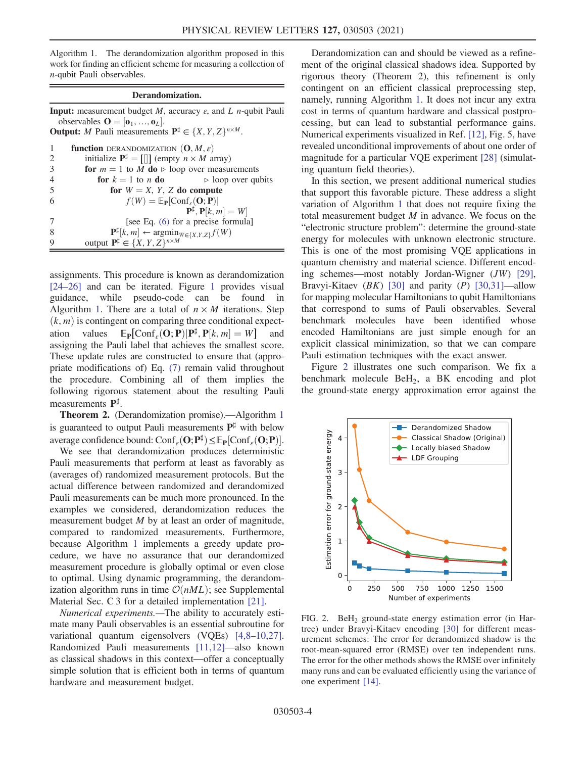<span id="page-3-0"></span>Algorithm 1. The derandomization algorithm proposed in this work for finding an efficient scheme for measuring a collection of n-qubit Pauli observables.

## Derandomization.

**Input:** measurement budget  $M$ , accuracy  $\varepsilon$ , and  $L$  *n*-qubit Pauli observables  $\mathbf{O} = [\mathbf{o}_1, ..., \mathbf{o}_L].$ <br>utput: *M* Pauli measurement **Output:** M Pauli measurements  $P^{\sharp} \in \{X, Y, Z\}^{n \times M}$ .

|                | <b>function</b> DERANDOMIZATION $(\mathbf{O}, M, \varepsilon)$                                                                                 |
|----------------|------------------------------------------------------------------------------------------------------------------------------------------------|
| 2              | initialize $P^{\sharp} = [\parallel]$ (empty $n \times M$ array)                                                                               |
| 3              | for $m = 1$ to M do $\triangleright$ loop over measurements                                                                                    |
| $\overline{4}$ | for $k = 1$ to n do<br>$\triangleright$ loop over qubits                                                                                       |
| 5              | for $W = X$ , Y, Z do compute                                                                                                                  |
| 6              | $f(W) = \mathbb{E}_{\mathbf{P}}[\text{Conf}_e(\mathbf{O}; \mathbf{P})]$                                                                        |
|                | $\mathbf{P}^{\sharp}, \mathbf{P}[k,m] = W$                                                                                                     |
| 7              | [see Eq. (6) for a precise formula]                                                                                                            |
| 8              | $\mathbf{P}^{\sharp}[k,m] \leftarrow \operatorname*{argmin}_{W \in \{X,Y,Z\}} f(W)$<br>output $\mathbf{P}^{\sharp} \in \{X,Y,Z\}^{n \times M}$ |
| 9              |                                                                                                                                                |
|                |                                                                                                                                                |

assignments. This procedure is known as derandomization [\[24](#page-5-4)–26] and can be iterated. Figure [1](#page-2-0) provides visual guidance, while pseudo-code can be found in Algorithm [1.](#page-3-0) There are a total of  $n \times M$  iterations. Step  $(k, m)$  is contingent on comparing three conditional expectation values  $\mathbb{E}_{\mathbf{P}}[\text{Conf}_{\varepsilon}(\mathbf{O}; \mathbf{P}) | \mathbf{P}^{\sharp}, \mathbf{P}[k, m] = W]$  and assigning the Pauli label that achieves the smallest score assigning the Pauli label that achieves the smallest score. These update rules are constructed to ensure that (appropriate modifications of) Eq. [\(7\)](#page-2-3) remain valid throughout the procedure. Combining all of them implies the following rigorous statement about the resulting Pauli measurements P<sup>♯</sup>.

Theorem 2. (Derandomization promise).—Algorithm [1](#page-3-0) is guaranteed to output Pauli measurements  $P^{\sharp}$  with below average confidence bound: Conf<sub>ε</sub> $(\mathbf{O}; \mathbf{P}^{\sharp}) \leq \mathbb{E}_{\mathbf{P}}[\text{Conf}_{\varepsilon}(\mathbf{O}; \mathbf{P})].$ <br>We see that derandomization produces deterministic

We see that derandomization produces deterministic Pauli measurements that perform at least as favorably as (averages of) randomized measurement protocols. But the actual difference between randomized and derandomized Pauli measurements can be much more pronounced. In the examples we considered, derandomization reduces the measurement budget M by at least an order of magnitude, compared to randomized measurements. Furthermore, because Algorithm [1](#page-3-0) implements a greedy update procedure, we have no assurance that our derandomized measurement procedure is globally optimal or even close to optimal. Using dynamic programming, the derandomization algorithm runs in time  $\mathcal{O}(nML)$ ; see Supplemental Material Sec. C 3 for a detailed implementation [\[21\]](#page-5-3).

Numerical experiments.—The ability to accurately estimate many Pauli observables is an essential subroutine for variational quantum eigensolvers (VQEs) [4,8–[10,27\]](#page-4-3). Randomized Pauli measurements [\[11,12\]](#page-5-0)—also known as classical shadows in this context—offer a conceptually simple solution that is efficient both in terms of quantum hardware and measurement budget.

Derandomization can and should be viewed as a refinement of the original classical shadows idea. Supported by rigorous theory (Theorem 2), this refinement is only contingent on an efficient classical preprocessing step, namely, running Algorithm [1.](#page-3-0) It does not incur any extra cost in terms of quantum hardware and classical postprocessing, but can lead to substantial performance gains. Numerical experiments visualized in Ref. [\[12\]](#page-5-1), Fig. 5, have revealed unconditional improvements of about one order of magnitude for a particular VQE experiment [\[28\]](#page-5-5) (simulating quantum field theories).

In this section, we present additional numerical studies that support this favorable picture. These address a slight variation of Algorithm [1](#page-3-0) that does not require fixing the total measurement budget  $M$  in advance. We focus on the "electronic structure problem": determine the ground-state energy for molecules with unknown electronic structure. This is one of the most promising VQE applications in quantum chemistry and material science. Different encoding schemes—most notably Jordan-Wigner (JW) [\[29\]](#page-5-6), Bravyi-Kitaev  $(BK)$  [\[30\]](#page-5-7) and parity  $(P)$  [\[30,31\]](#page-5-7)—allow for mapping molecular Hamiltonians to qubit Hamiltonians that correspond to sums of Pauli observables. Several benchmark molecules have been identified whose encoded Hamiltonians are just simple enough for an explicit classical minimization, so that we can compare Pauli estimation techniques with the exact answer.

Figure [2](#page-3-1) illustrates one such comparison. We fix a benchmark molecule BeH2, a BK encoding and plot the ground-state energy approximation error against the

<span id="page-3-1"></span>

FIG. 2. BeH<sub>2</sub> ground-state energy estimation error (in Hartree) under Bravyi-Kitaev encoding [\[30\]](#page-5-7) for different measurement schemes: The error for derandomized shadow is the root-mean-squared error (RMSE) over ten independent runs. The error for the other methods shows the RMSE over infinitely many runs and can be evaluated efficiently using the variance of one experiment [\[14\].](#page-5-8)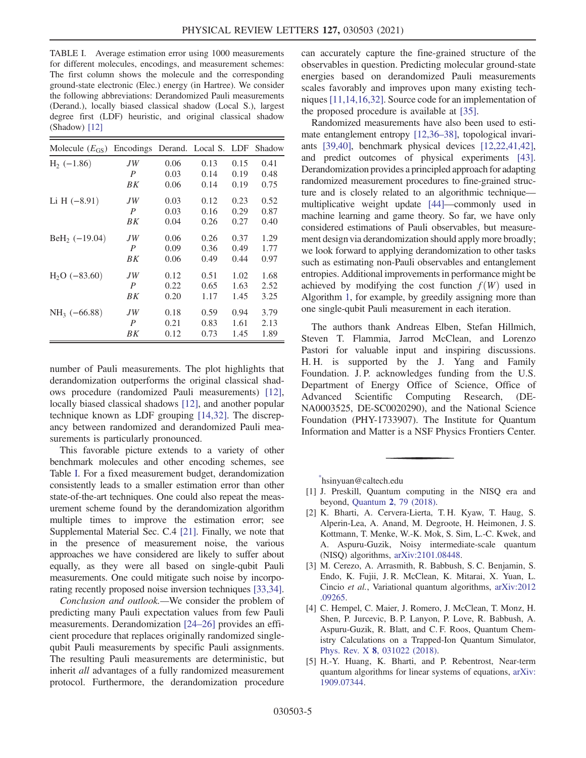<span id="page-4-4"></span>TABLE I. Average estimation error using 1000 measurements for different molecules, encodings, and measurement schemes: The first column shows the molecule and the corresponding ground-state electronic (Elec.) energy (in Hartree). We consider the following abbreviations: Derandomized Pauli measurements (Derand.), locally biased classical shadow (Local S.), largest degree first (LDF) heuristic, and original classical shadow (Shadow) [\[12\]](#page-5-1)

| Molecule $(E_{GS})$ | Encodings        |      | Derand. Local S. LDF |      | Shadow |
|---------------------|------------------|------|----------------------|------|--------|
| $H2$ (-1.86)        | JW               | 0.06 | 0.13                 | 0.15 | 0.41   |
|                     | $\overline{P}$   | 0.03 | 0.14                 | 0.19 | 0.48   |
|                     | BK               | 0.06 | 0.14                 | 0.19 | 0.75   |
| Li H $(-8.91)$      | JW               | 0.03 | 0.12                 | 0.23 | 0.52   |
|                     | $\boldsymbol{P}$ | 0.03 | 0.16                 | 0.29 | 0.87   |
|                     | BK               | 0.04 | 0.26                 | 0.27 | 0.40   |
| $BeH2$ (-19.04)     | JW               | 0.06 | 0.26                 | 0.37 | 1.29   |
|                     | $\boldsymbol{P}$ | 0.09 | 0.36                 | 0.49 | 1.77   |
|                     | BK               | 0.06 | 0.49                 | 0.44 | 0.97   |
| $H2O$ (-83.60)      | JW               | 0.12 | 0.51                 | 1.02 | 1.68   |
|                     | $\boldsymbol{P}$ | 0.22 | 0.65                 | 1.63 | 2.52   |
|                     | BK               | 0.20 | 1.17                 | 1.45 | 3.25   |
| $NH_3$ (-66.88)     | JW               | 0.18 | 0.59                 | 0.94 | 3.79   |
|                     | $\boldsymbol{P}$ | 0.21 | 0.83                 | 1.61 | 2.13   |
|                     | ΒK               | 0.12 | 0.73                 | 1.45 | 1.89   |

number of Pauli measurements. The plot highlights that derandomization outperforms the original classical shadows procedure (randomized Pauli measurements) [\[12\]](#page-5-1), locally biased classical shadows [\[12\]](#page-5-1), and another popular technique known as LDF grouping [\[14,32\].](#page-5-8) The discrepancy between randomized and derandomized Pauli measurements is particularly pronounced.

This favorable picture extends to a variety of other benchmark molecules and other encoding schemes, see Table [I](#page-4-4). For a fixed measurement budget, derandomization consistently leads to a smaller estimation error than other state-of-the-art techniques. One could also repeat the measurement scheme found by the derandomization algorithm multiple times to improve the estimation error; see Supplemental Material Sec. C.4 [\[21\].](#page-5-3) Finally, we note that in the presence of measurement noise, the various approaches we have considered are likely to suffer about equally, as they were all based on single-qubit Pauli measurements. One could mitigate such noise by incorporating recently proposed noise inversion techniques [\[33,34\]](#page-5-9).

Conclusion and outlook.—We consider the problem of predicting many Pauli expectation values from few Pauli measurements. Derandomization [\[24](#page-5-4)–26] provides an efficient procedure that replaces originally randomized singlequbit Pauli measurements by specific Pauli assignments. The resulting Pauli measurements are deterministic, but inherit all advantages of a fully randomized measurement protocol. Furthermore, the derandomization procedure

can accurately capture the fine-grained structure of the observables in question. Predicting molecular ground-state energies based on derandomized Pauli measurements scales favorably and improves upon many existing techniques [\[11,14,16,32\].](#page-5-0) Source code for an implementation of the proposed procedure is available at [\[35\].](#page-5-10)

Randomized measurements have also been used to estimate entanglement entropy [\[12,36](#page-5-1)–38], topological invariants [\[39,40\],](#page-5-11) benchmark physical devices [\[12,22,41,42\]](#page-5-1), and predict outcomes of physical experiments [\[43\]](#page-6-0). Derandomization provides a principled approach for adapting randomized measurement procedures to fine-grained structure and is closely related to an algorithmic technique multiplicative weight update [\[44\]](#page-6-1)—commonly used in machine learning and game theory. So far, we have only considered estimations of Pauli observables, but measurement design via derandomization should apply more broadly; we look forward to applying derandomization to other tasks such as estimating non-Pauli observables and entanglement entropies. Additional improvements in performance might be achieved by modifying the cost function  $f(W)$  used in Algorithm [1,](#page-3-0) for example, by greedily assigning more than one single-qubit Pauli measurement in each iteration.

The authors thank Andreas Elben, Stefan Hillmich, Steven T. Flammia, Jarrod McClean, and Lorenzo Pastori for valuable input and inspiring discussions. H. H. is supported by the J. Yang and Family Foundation. J. P. acknowledges funding from the U.S. Department of Energy Office of Science, Office of Advanced Scientific Computing Research, (DE-NA0003525, DE-SC0020290), and the National Science Foundation (PHY-1733907). The Institute for Quantum Information and Matter is a NSF Physics Frontiers Center.

<span id="page-4-1"></span><span id="page-4-0"></span>[\\*](#page-0-0) hsinyuan@caltech.edu

- <span id="page-4-2"></span>[1] J. Preskill, Quantum computing in the NISQ era and beyond, Quantum 2[, 79 \(2018\)](https://doi.org/10.22331/q-2018-08-06-79).
- [2] K. Bharti, A. Cervera-Lierta, T. H. Kyaw, T. Haug, S. Alperin-Lea, A. Anand, M. Degroote, H. Heimonen, J. S. Kottmann, T. Menke, W.-K. Mok, S. Sim, L.-C. Kwek, and A. Aspuru-Guzik, Noisy intermediate-scale quantum (NISQ) algorithms, [arXiv:2101.08448](https://arXiv.org/abs/2101.08448).
- <span id="page-4-3"></span>[3] M. Cerezo, A. Arrasmith, R. Babbush, S. C. Benjamin, S. Endo, K. Fujii, J. R. McClean, K. Mitarai, X. Yuan, L. Cincio et al., Variational quantum algorithms, [arXiv:2012](https://arXiv.org/abs/2012.09265) [.09265.](https://arXiv.org/abs/2012.09265)
- [4] C. Hempel, C. Maier, J. Romero, J. McClean, T. Monz, H. Shen, P. Jurcevic, B. P. Lanyon, P. Love, R. Babbush, A. Aspuru-Guzik, R. Blatt, and C. F. Roos, Quantum Chemistry Calculations on a Trapped-Ion Quantum Simulator, Phys. Rev. X 8[, 031022 \(2018\).](https://doi.org/10.1103/PhysRevX.8.031022)
- [5] H.-Y. Huang, K. Bharti, and P. Rebentrost, Near-term quantum algorithms for linear systems of equations, [arXiv:](https://arXiv.org/abs/1909.07344) [1909.07344.](https://arXiv.org/abs/1909.07344)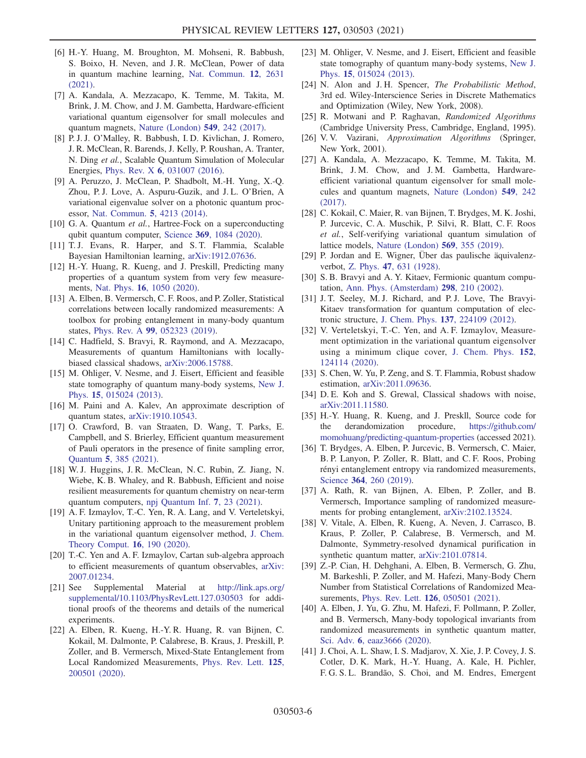- [6] H.-Y. Huang, M. Broughton, M. Mohseni, R. Babbush, S. Boixo, H. Neven, and J. R. McClean, Power of data in quantum machine learning, [Nat. Commun.](https://doi.org/10.1038/s41467-021-22539-9) 12, 2631 [\(2021\).](https://doi.org/10.1038/s41467-021-22539-9)
- [7] A. Kandala, A. Mezzacapo, K. Temme, M. Takita, M. Brink, J. M. Chow, and J. M. Gambetta, Hardware-efficient variational quantum eigensolver for small molecules and quantum magnets, [Nature \(London\)](https://doi.org/10.1038/nature23879) 549, 242 (2017).
- [8] P. J. J. O'Malley, R. Babbush, I. D. Kivlichan, J. Romero, J. R. McClean, R. Barends, J. Kelly, P. Roushan, A. Tranter, N. Ding et al., Scalable Quantum Simulation of Molecular Energies, Phys. Rev. X 6[, 031007 \(2016\)](https://doi.org/10.1103/PhysRevX.6.031007).
- [9] A. Peruzzo, J. McClean, P. Shadbolt, M.-H. Yung, X.-Q. Zhou, P. J. Love, A. Aspuru-Guzik, and J. L. O'Brien, A variational eigenvalue solver on a photonic quantum processor, [Nat. Commun.](https://doi.org/10.1038/ncomms5213) 5, 4213 (2014).
- [10] G. A. Quantum et al., Hartree-Fock on a superconducting qubit quantum computer, Science 369[, 1084 \(2020\).](https://doi.org/10.1126/science.abb9811)
- <span id="page-5-0"></span>[11] T. J. Evans, R. Harper, and S. T. Flammia, Scalable Bayesian Hamiltonian learning, [arXiv:1912.07636](https://arXiv.org/abs/1912.07636).
- <span id="page-5-1"></span>[12] H.-Y. Huang, R. Kueng, and J. Preskill, Predicting many properties of a quantum system from very few measurements, Nat. Phys. 16[, 1050 \(2020\)](https://doi.org/10.1038/s41567-020-0932-7).
- [13] A. Elben, B. Vermersch, C. F. Roos, and P. Zoller, Statistical correlations between locally randomized measurements: A toolbox for probing entanglement in many-body quantum states, Phys. Rev. A 99[, 052323 \(2019\).](https://doi.org/10.1103/PhysRevA.99.052323)
- <span id="page-5-8"></span>[14] C. Hadfield, S. Bravyi, R. Raymond, and A. Mezzacapo, Measurements of quantum Hamiltonians with locallybiased classical shadows, [arXiv:2006.15788](https://arXiv.org/abs/2006.15788).
- [15] M. Ohliger, V. Nesme, and J. Eisert, Efficient and feasible state tomography of quantum many-body systems, [New J.](https://doi.org/10.1088/1367-2630/15/1/015024) Phys. 15[, 015024 \(2013\)](https://doi.org/10.1088/1367-2630/15/1/015024).
- [16] M. Paini and A. Kalev, An approximate description of quantum states, [arXiv:1910.10543.](https://arXiv.org/abs/1910.10543)
- <span id="page-5-2"></span>[17] O. Crawford, B. van Straaten, D. Wang, T. Parks, E. Campbell, and S. Brierley, Efficient quantum measurement of Pauli operators in the presence of finite sampling error, Quantum 5[, 385 \(2021\)](https://doi.org/10.22331/q-2021-01-20-385).
- [18] W. J. Huggins, J. R. McClean, N. C. Rubin, Z. Jiang, N. Wiebe, K. B. Whaley, and R. Babbush, Efficient and noise resilient measurements for quantum chemistry on near-term quantum computers, [npj Quantum Inf.](https://doi.org/10.1038/s41534-020-00341-7) 7, 23 (2021).
- [19] A. F. Izmaylov, T.-C. Yen, R. A. Lang, and V. Verteletskyi, Unitary partitioning approach to the measurement problem in the variational quantum eigensolver method, [J. Chem.](https://doi.org/10.1021/acs.jctc.9b00791) [Theory Comput.](https://doi.org/10.1021/acs.jctc.9b00791) 16, 190 (2020).
- [20] T.-C. Yen and A. F. Izmaylov, Cartan sub-algebra approach to efficient measurements of quantum observables, [arXiv:](https://arXiv.org/abs/2007.01234) [2007.01234.](https://arXiv.org/abs/2007.01234)
- <span id="page-5-3"></span>[21] See Supplemental Material at [http://link.aps.org/](http://link.aps.org/supplemental/10.1103/PhysRevLett.127.030503) [supplemental/10.1103/PhysRevLett.127.030503](http://link.aps.org/supplemental/10.1103/PhysRevLett.127.030503) for additional proofs of the theorems and details of the numerical experiments.
- [22] A. Elben, R. Kueng, H.-Y. R. Huang, R. van Bijnen, C. Kokail, M. Dalmonte, P. Calabrese, B. Kraus, J. Preskill, P. Zoller, and B. Vermersch, Mixed-State Entanglement from Local Randomized Measurements, [Phys. Rev. Lett.](https://doi.org/10.1103/PhysRevLett.125.200501) 125, [200501 \(2020\).](https://doi.org/10.1103/PhysRevLett.125.200501)
- [23] M. Ohliger, V. Nesme, and J. Eisert, Efficient and feasible state tomography of quantum many-body systems, [New J.](https://doi.org/10.1088/1367-2630/15/1/015024) Phys. 15[, 015024 \(2013\)](https://doi.org/10.1088/1367-2630/15/1/015024).
- <span id="page-5-4"></span>[24] N. Alon and J.H. Spencer, The Probabilistic Method, 3rd ed. Wiley-Interscience Series in Discrete Mathematics and Optimization (Wiley, New York, 2008).
- [25] R. Motwani and P. Raghavan, Randomized Algorithms (Cambridge University Press, Cambridge, England, 1995).
- [26] V.V. Vazirani, Approximation Algorithms (Springer, New York, 2001).
- [27] A. Kandala, A. Mezzacapo, K. Temme, M. Takita, M. Brink, J. M. Chow, and J. M. Gambetta, Hardwareefficient variational quantum eigensolver for small molecules and quantum magnets, [Nature \(London\)](https://doi.org/10.1038/nature23879) 549, 242 [\(2017\).](https://doi.org/10.1038/nature23879)
- <span id="page-5-5"></span>[28] C. Kokail, C. Maier, R. van Bijnen, T. Brydges, M. K. Joshi, P. Jurcevic, C. A. Muschik, P. Silvi, R. Blatt, C. F. Roos et al., Self-verifying variational quantum simulation of lattice models, [Nature \(London\)](https://doi.org/10.1038/s41586-019-1177-4) 569, 355 (2019).
- <span id="page-5-6"></span>[29] P. Jordan and E. Wigner, Über das paulische äquivalenzverbot, Z. Phys. 47[, 631 \(1928\).](https://doi.org/10.1007/BF01331938)
- <span id="page-5-7"></span>[30] S. B. Bravyi and A. Y. Kitaev, Fermionic quantum computation, [Ann. Phys. \(Amsterdam\)](https://doi.org/10.1006/aphy.2002.6254) 298, 210 (2002).
- [31] J. T. Seeley, M. J. Richard, and P. J. Love, The Bravyi-Kitaev transformation for quantum computation of electronic structure, J. Chem. Phys. 137[, 224109 \(2012\)](https://doi.org/10.1063/1.4768229).
- [32] V. Verteletskyi, T.-C. Yen, and A. F. Izmaylov, Measurement optimization in the variational quantum eigensolver using a minimum clique cover, [J. Chem. Phys.](https://doi.org/10.1063/1.5141458) 152, [124114 \(2020\)](https://doi.org/10.1063/1.5141458).
- <span id="page-5-9"></span>[33] S. Chen, W. Yu, P. Zeng, and S. T. Flammia, Robust shadow estimation, [arXiv:2011.09636](https://arXiv.org/abs/2011.09636).
- [34] D. E. Koh and S. Grewal, Classical shadows with noise, [arXiv:2011.11580.](https://arXiv.org/abs/2011.11580)
- <span id="page-5-10"></span>[35] H.-Y. Huang, R. Kueng, and J. Preskll, Source code for the derandomization procedure, [https://github.com/](https://github.com/momohuang/predicting-quantum-properties) [momohuang/predicting-quantum-properties](https://github.com/momohuang/predicting-quantum-properties) (accessed 2021).
- [36] T. Brydges, A. Elben, P. Jurcevic, B. Vermersch, C. Maier, B. P. Lanyon, P. Zoller, R. Blatt, and C. F. Roos, Probing rényi entanglement entropy via randomized measurements, Science 364[, 260 \(2019\)](https://doi.org/10.1126/science.aau4963).
- [37] A. Rath, R. van Bijnen, A. Elben, P. Zoller, and B. Vermersch, Importance sampling of randomized measurements for probing entanglement, [arXiv:2102.13524.](https://arXiv.org/abs/2102.13524)
- [38] V. Vitale, A. Elben, R. Kueng, A. Neven, J. Carrasco, B. Kraus, P. Zoller, P. Calabrese, B. Vermersch, and M. Dalmonte, Symmetry-resolved dynamical purification in synthetic quantum matter, [arXiv:2101.07814.](https://arXiv.org/abs/2101.07814)
- <span id="page-5-11"></span>[39] Z.-P. Cian, H. Dehghani, A. Elben, B. Vermersch, G. Zhu, M. Barkeshli, P. Zoller, and M. Hafezi, Many-Body Chern Number from Statistical Correlations of Randomized Measurements, Phys. Rev. Lett. 126[, 050501 \(2021\).](https://doi.org/10.1103/PhysRevLett.126.050501)
- [40] A. Elben, J. Yu, G. Zhu, M. Hafezi, F. Pollmann, P. Zoller, and B. Vermersch, Many-body topological invariants from randomized measurements in synthetic quantum matter, Sci. Adv. 6[, eaaz3666 \(2020\)](https://doi.org/10.1126/sciadv.aaz3666).
- [41] J. Choi, A. L. Shaw, I. S. Madjarov, X. Xie, J. P. Covey, J. S. Cotler, D. K. Mark, H.-Y. Huang, A. Kale, H. Pichler, F. G. S. L. Brandão, S. Choi, and M. Endres, Emergent